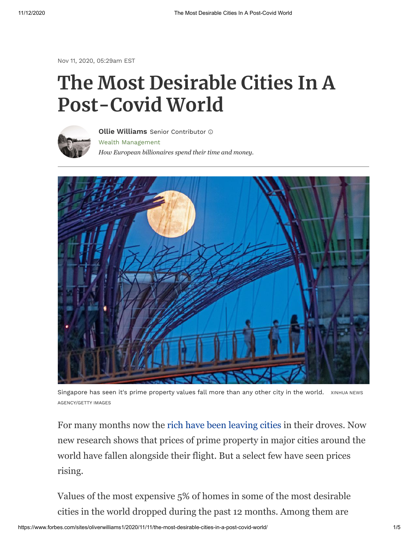Nov 11, 2020, 05:29am EST

## **The Most Desirable Cities In A Post-Covid World**



Wealth [Management](https://www.forbes.com/wealth-management) *How European billionaires spend their time and money.* **Ollie [Williams](https://www.forbes.com/sites/oliverwilliams1/)** Senior Contributor



Singapore has seen it's prime property values fall more than any other city in the world. XINHUA NEWS AGENCY/GETTY IMAGES

For many months now the [rich have been leaving cities](https://www.forbes.com/sites/oliverwilliams1/2020/07/14/the-wealthy-are-leaving-cities-for-good) in their droves. Now new research shows that prices of prime property in major cities around the world have fallen alongside their flight. But a select few have seen prices rising.

Values of the most expensive 5% of homes in some of the most desirable cities in the world dropped during the past 12 months. Among them are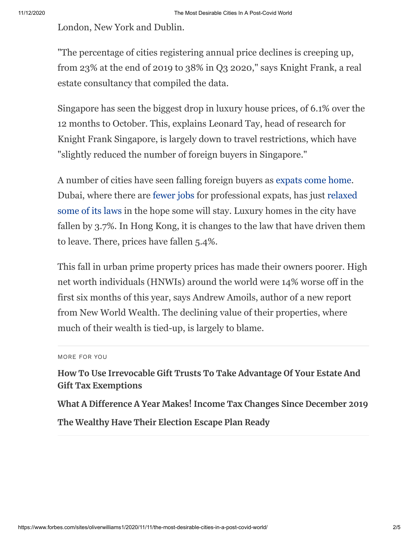London, New York and Dublin.

"The percentage of cities registering annual price declines is creeping up, from 23% at the end of 2019 to 38% in Q3 2020," says Knight Frank, a real estate consultancy that compiled the data.

Singapore has seen the biggest drop in luxury house prices, of 6.1% over the 12 months to October. This, explains Leonard Tay, head of research for Knight Frank Singapore, is largely down to travel restrictions, which have "slightly reduced the number of foreign buyers in Singapore."

A number of cities have seen falling foreign buyers as [expats come home.](https://www.forbes.com/sites/oliverwilliams1/2020/08/28/expat-broke-and-remote-why-foreign-workers-are-coming-home/) [Dubai, where there are](https://www.forbes.com/sites/michaelgoldstein/2020/11/10/will-changes-in-harsh-laws-recharge-united-arab-emirates-as-a-business-and-tourist-destination/) [fewer job](https://www.forbes.com/sites/oliverwilliams1/2020/08/28/expat-broke-and-remote-why-foreign-workers-are-coming-home)[s for professional expats, has just relaxed](https://www.forbes.com/sites/michaelgoldstein/2020/11/10/will-changes-in-harsh-laws-recharge-united-arab-emirates-as-a-business-and-tourist-destination/) some of its laws in the hope some will stay. Luxury homes in the city have fallen by 3.7%. In Hong Kong, it is changes to the law that have driven them to leave. There, prices have fallen 5.4%.

This fall in urban prime property prices has made their owners poorer. High net worth individuals (HNWIs) around the world were 14% worse off in the first six months of this year, says Andrew Amoils, author of a new report from New World Wealth. The declining value of their properties, where much of their wealth is tied-up, is largely to blame.

```
MORE FOR YOU
```
**[How To Use Irrevocable Gift Trusts To Take Advantage Of Your Estate And](https://www.forbes.com/sites/johnjennings/2020/11/10/how-to-use-irrevocable-gift-trusts-to-use-your-estate-and-gift-tax-exemption/) Gift Tax Exemptions**

**[What A Difference A Year Makes! Income Tax Changes Since December 2019](https://www.forbes.com/sites/matthewerskine/2020/11/09/what-a-difference-a-year-makes-income-tax-changes-since-december-2019/) [The Wealthy Have Their Election Escape Plan Ready](https://www.forbes.com/sites/oliverwilliams1/2020/11/02/the-wealthy-have-their-election-escape-plan-ready/)**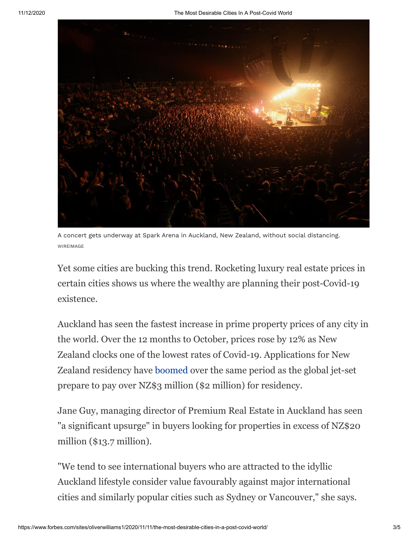

A concert gets underway at Spark Arena in Auckland, New Zealand, without social distancing. WIREIMAGE

Yet some cities are bucking this trend. Rocketing luxury real estate prices in certain cities shows us where the wealthy are planning their post-Covid-19 existence.

Auckland has seen the fastest increase in prime property prices of any city in the world. Over the 12 months to October, prices rose by 12% as New Zealand clocks one of the lowest rates of Covid-19. Applications for New Zealand residency have [boomed](https://www.forbes.com/sites/oliverwilliams1/2020/08/28/expat-broke-and-remote-why-foreign-workers-are-coming-home/) over the same period as the global jet-set prepare to pay over NZ\$3 million (\$2 million) for residency.

Jane Guy, managing director of Premium Real Estate in Auckland has seen "a significant upsurge" in buyers looking for properties in excess of NZ\$20 million (\$13.7 million).

"We tend to see international buyers who are attracted to the idyllic Auckland lifestyle consider value favourably against major international cities and similarly popular cities such as Sydney or Vancouver," she says.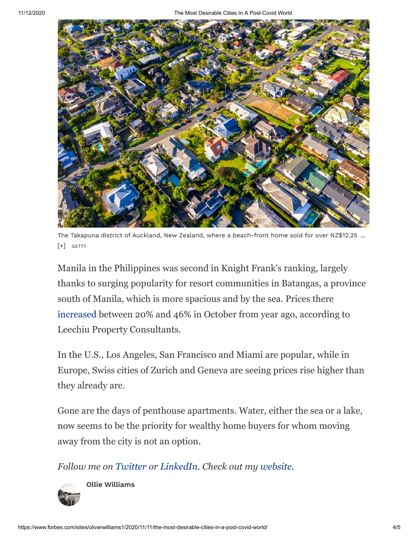

The Takapuna district of Auckland, New Zealand, where a beach-front home sold for over NZ\$12.25 ... [+] GETTY

Manila in the Philippines was second in Knight Frank's ranking, largely thanks to surging popularity for resort communities in Batangas, a province south of Manila, which is more spacious and by the sea. Prices there [increased](https://www.bloombergquint.com/onweb/rich-filipinos-seeking-havens-from-manila-boost-beach-home-sales) between 20% and 46% in October from year ago, according to Leechiu Property Consultants.

In the U.S., Los Angeles, San Francisco and Miami are popular, while in Europe, Swiss cities of Zurich and Geneva are seeing prices rise higher than they already are.

Gone are the days of penthouse apartments. Water, either the sea or a lake, now seems to be the priority for wealthy home buyers for whom moving away from the city is not an option.

*Follow me on [Twitter](https://www.twitter.com/@ollieawilliams) or [LinkedIn](https://www.forbes.com/sites/oliverwilliams1/2020/11/11/the-most-desirable-cities-in-a-post-covid-world/www.linkedin.com/in/ollieawilliams). Check out my [website](http://oliverwilliams.me/).* 



**Ollie [Williams](https://www.forbes.com/sites/oliverwilliams1/)**